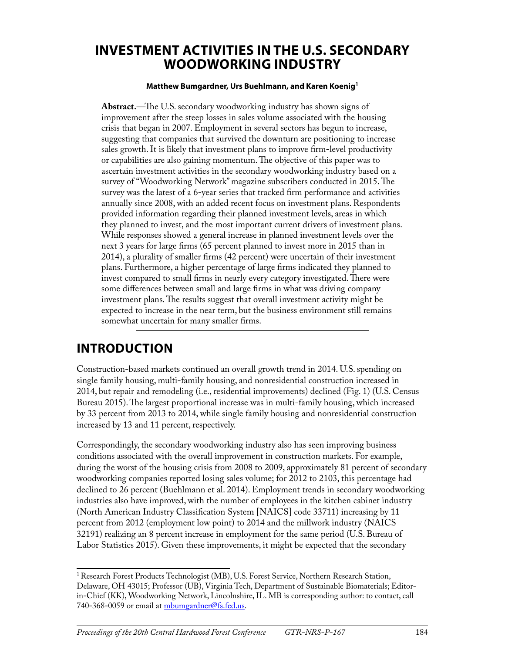### **INVESTMENT ACTIVITIES IN THE U.S. SECONDARY WOODWORKING INDUSTRY**

#### **Matthew Bumgardner, Urs Buehlmann, and Karen Koenig1**

**Abstract.**—The U.S. secondary woodworking industry has shown signs of improvement after the steep losses in sales volume associated with the housing crisis that began in 2007. Employment in several sectors has begun to increase, suggesting that companies that survived the downturn are positioning to increase sales growth. It is likely that investment plans to improve firm-level productivity or capabilities are also gaining momentum. The objective of this paper was to ascertain investment activities in the secondary woodworking industry based on a survey of "Woodworking Network" magazine subscribers conducted in 2015. The survey was the latest of a 6-year series that tracked firm performance and activities annually since 2008, with an added recent focus on investment plans. Respondents provided information regarding their planned investment levels, areas in which they planned to invest, and the most important current drivers of investment plans. While responses showed a general increase in planned investment levels over the next 3 years for large firms (65 percent planned to invest more in 2015 than in 2014), a plurality of smaller firms (42 percent) were uncertain of their investment plans. Furthermore, a higher percentage of large firms indicated they planned to invest compared to small firms in nearly every category investigated. There were some differences between small and large firms in what was driving company investment plans. The results suggest that overall investment activity might be expected to increase in the near term, but the business environment still remains somewhat uncertain for many smaller firms.

### **INTRODUCTION**

Construction-based markets continued an overall growth trend in 2014. U.S. spending on single family housing, multi-family housing, and nonresidential construction increased in 2014, but repair and remodeling (i.e., residential improvements) declined (Fig. 1) (U.S. Census Bureau 2015). The largest proportional increase was in multi-family housing, which increased by 33 percent from 2013 to 2014, while single family housing and nonresidential construction increased by 13 and 11 percent, respectively.

Correspondingly, the secondary woodworking industry also has seen improving business conditions associated with the overall improvement in construction markets. For example, during the worst of the housing crisis from 2008 to 2009, approximately 81 percent of secondary woodworking companies reported losing sales volume; for 2012 to 2103, this percentage had declined to 26 percent (Buehlmann et al. 2014). Employment trends in secondary woodworking industries also have improved, with the number of employees in the kitchen cabinet industry (North American Industry Classification System [NAICS] code 33711) increasing by 11 percent from 2012 (employment low point) to 2014 and the millwork industry (NAICS 32191) realizing an 8 percent increase in employment for the same period (U.S. Bureau of Labor Statistics 2015). Given these improvements, it might be expected that the secondary

<sup>&</sup>lt;sup>1</sup> Research Forest Products Technologist (MB), U.S. Forest Service, Northern Research Station, Delaware, OH 43015; Professor (UB), Virginia Tech, Department of Sustainable Biomaterials; Editorin-Chief (KK), Woodworking Network, Lincolnshire, IL. MB is corresponding author: to contact, call 740-368-0059 or email at [mbumgardner@fs.fed.us.](mailto:mbumgardner@fs.fed.us)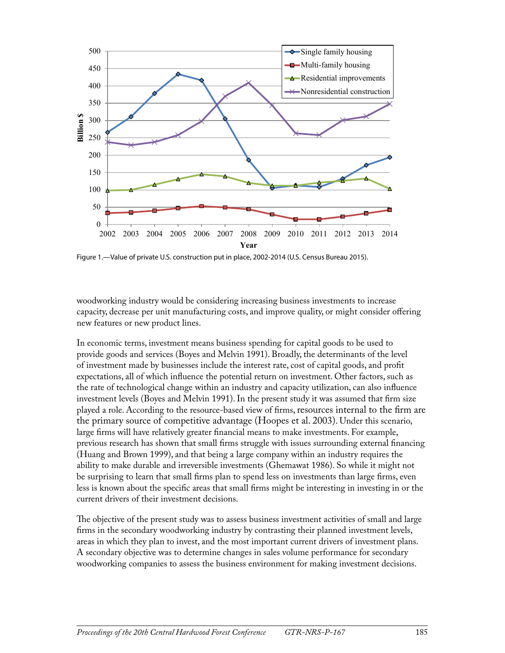

Figure 1.—Value of private U.S. construction put in place, 2002-2014 (U.S. Census Bureau 2015).

woodworking industry would be considering increasing business investments to increase capacity, decrease per unit manufacturing costs, and improve quality, or might consider offering new features or new product lines.

In economic terms, investment means business spending for capital goods to be used to provide goods and services (Boyes and Melvin 1991). Broadly, the determinants of the level of investment made by businesses include the interest rate, cost of capital goods, and profit expectations, all of which influence the potential return on investment. Other factors, such as the rate of technological change within an industry and capacity utilization, can also influence investment levels (Boyes and Melvin 1991). In the present study it was assumed that firm size played a role. According to the resource-based view of firms, resources internal to the firm are the primary source of competitive advantage (Hoopes et al. 2003). Under this scenario, large firms will have relatively greater financial means to make investments. For example, previous research has shown that small firms struggle with issues surrounding external financing (Huang and Brown 1999), and that being a large company within an industry requires the ability to make durable and irreversible investments (Ghemawat 1986). So while it might not be surprising to learn that small firms plan to spend less on investments than large firms, even less is known about the specific areas that small firms might be interesting in investing in or the current drivers of their investment decisions.

The objective of the present study was to assess business investment activities of small and large firms in the secondary woodworking industry by contrasting their planned investment levels, areas in which they plan to invest, and the most important current drivers of investment plans. A secondary objective was to determine changes in sales volume performance for secondary woodworking companies to assess the business environment for making investment decisions.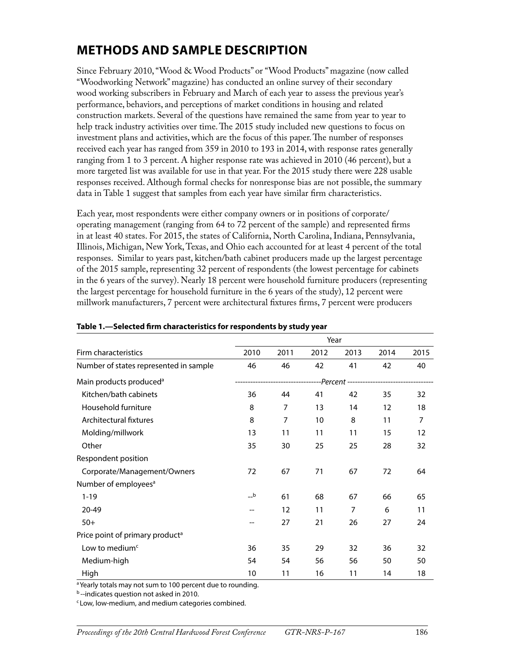## **METHODS AND SAMPLE DESCRIPTION**

Since February 2010, "Wood & Wood Products" or "Wood Products" magazine (now called "Woodworking Network" magazine) has conducted an online survey of their secondary wood working subscribers in February and March of each year to assess the previous year's performance, behaviors, and perceptions of market conditions in housing and related construction markets. Several of the questions have remained the same from year to year to help track industry activities over time. The 2015 study included new questions to focus on investment plans and activities, which are the focus of this paper. The number of responses received each year has ranged from 359 in 2010 to 193 in 2014, with response rates generally ranging from 1 to 3 percent. A higher response rate was achieved in 2010 (46 percent), but a more targeted list was available for use in that year. For the 2015 study there were 228 usable responses received. Although formal checks for nonresponse bias are not possible, the summary data in Table 1 suggest that samples from each year have similar firm characteristics.

Each year, most respondents were either company owners or in positions of corporate/ operating management (ranging from 64 to 72 percent of the sample) and represented firms in at least 40 states. For 2015, the states of California, North Carolina, Indiana, Pennsylvania, Illinois, Michigan, New York, Texas, and Ohio each accounted for at least 4 percent of the total responses. Similar to years past, kitchen/bath cabinet producers made up the largest percentage of the 2015 sample, representing 32 percent of respondents (the lowest percentage for cabinets in the 6 years of the survey). Nearly 18 percent were household furniture producers (representing the largest percentage for household furniture in the 6 years of the study), 12 percent were millwork manufacturers, 7 percent were architectural fixtures firms, 7 percent were producers

|                                             |       | Year           |      |      |                                     |      |
|---------------------------------------------|-------|----------------|------|------|-------------------------------------|------|
| Firm characteristics                        | 2010  | 2011           | 2012 | 2013 | 2014                                | 2015 |
| Number of states represented in sample      | 46    | 46             | 42   | 41   | 42                                  | 40   |
| Main products produced <sup>a</sup>         |       |                |      |      | --Percent ------------------------- |      |
| Kitchen/bath cabinets                       | 36    | 44             | 41   | 42   | 35                                  | 32   |
| Household furniture                         | 8     | $\overline{7}$ | 13   | 14   | 12                                  | 18   |
| Architectural fixtures                      | 8     | 7              | 10   | 8    | 11                                  | 7    |
| Molding/millwork                            | 13    | 11             | 11   | 11   | 15                                  | 12   |
| Other                                       | 35    | 30             | 25   | 25   | 28                                  | 32   |
| Respondent position                         |       |                |      |      |                                     |      |
| Corporate/Management/Owners                 | 72    | 67             | 71   | 67   | 72                                  | 64   |
| Number of employees <sup>a</sup>            |       |                |      |      |                                     |      |
| $1 - 19$                                    | $\_b$ | 61             | 68   | 67   | 66                                  | 65   |
| 20-49                                       |       | 12             | 11   | 7    | 6                                   | 11   |
| $50+$                                       |       | 27             | 21   | 26   | 27                                  | 24   |
| Price point of primary product <sup>a</sup> |       |                |      |      |                                     |      |
| Low to medium <sup><math>c</math></sup>     | 36    | 35             | 29   | 32   | 36                                  | 32   |
| Medium-high                                 | 54    | 54             | 56   | 56   | 50                                  | 50   |
| High                                        | 10    | 11             | 16   | 11   | 14                                  | 18   |

#### **Table 1.—Selected firm characteristics for respondents by study year**

<sup>a</sup> Yearly totals may not sum to 100 percent due to rounding.

b--indicates question not asked in 2010.

c Low, low-medium, and medium categories combined.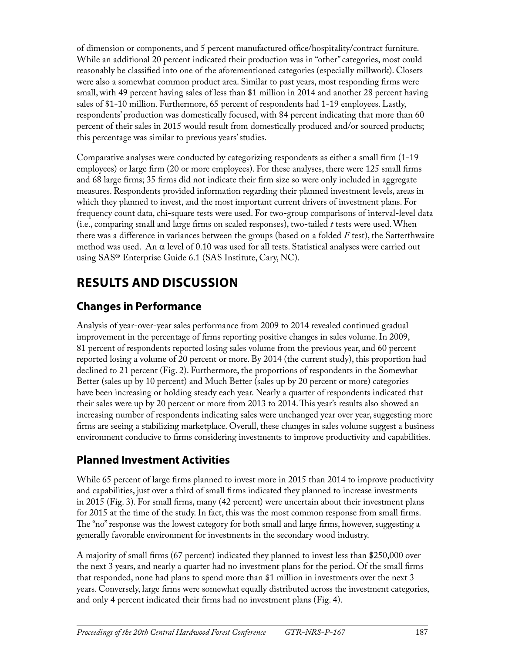of dimension or components, and 5 percent manufactured office/hospitality/contract furniture. While an additional 20 percent indicated their production was in "other" categories, most could reasonably be classified into one of the aforementioned categories (especially millwork). Closets were also a somewhat common product area. Similar to past years, most responding firms were small, with 49 percent having sales of less than \$1 million in 2014 and another 28 percent having sales of \$1-10 million. Furthermore, 65 percent of respondents had 1-19 employees. Lastly, respondents' production was domestically focused, with 84 percent indicating that more than 60 percent of their sales in 2015 would result from domestically produced and/or sourced products; this percentage was similar to previous years' studies.

Comparative analyses were conducted by categorizing respondents as either a small firm (1-19 employees) or large firm (20 or more employees). For these analyses, there were 125 small firms and 68 large firms; 35 firms did not indicate their firm size so were only included in aggregate measures. Respondents provided information regarding their planned investment levels, areas in which they planned to invest, and the most important current drivers of investment plans. For frequency count data, chi-square tests were used. For two-group comparisons of interval-level data (i.e., comparing small and large firms on scaled responses), two-tailed *t* tests were used. When there was a difference in variances between the groups (based on a folded *F* test), the Satterthwaite method was used. An  $\alpha$  level of 0.10 was used for all tests. Statistical analyses were carried out using SAS® Enterprise Guide 6.1 (SAS Institute, Cary, NC).

# **RESULTS AND DISCUSSION**

#### **Changes in Performance**

Analysis of year-over-year sales performance from 2009 to 2014 revealed continued gradual improvement in the percentage of firms reporting positive changes in sales volume. In 2009, 81 percent of respondents reported losing sales volume from the previous year, and 60 percent reported losing a volume of 20 percent or more. By 2014 (the current study), this proportion had declined to 21 percent (Fig. 2). Furthermore, the proportions of respondents in the Somewhat Better (sales up by 10 percent) and Much Better (sales up by 20 percent or more) categories have been increasing or holding steady each year. Nearly a quarter of respondents indicated that their sales were up by 20 percent or more from 2013 to 2014. This year's results also showed an increasing number of respondents indicating sales were unchanged year over year, suggesting more firms are seeing a stabilizing marketplace. Overall, these changes in sales volume suggest a business environment conducive to firms considering investments to improve productivity and capabilities.

## **Planned Investment Activities**

While 65 percent of large firms planned to invest more in 2015 than 2014 to improve productivity and capabilities, just over a third of small firms indicated they planned to increase investments in 2015 (Fig. 3). For small firms, many (42 percent) were uncertain about their investment plans for 2015 at the time of the study. In fact, this was the most common response from small firms. The "no" response was the lowest category for both small and large firms, however, suggesting a generally favorable environment for investments in the secondary wood industry.

A majority of small firms (67 percent) indicated they planned to invest less than \$250,000 over the next 3 years, and nearly a quarter had no investment plans for the period. Of the small firms that responded, none had plans to spend more than \$1 million in investments over the next 3 years. Conversely, large firms were somewhat equally distributed across the investment categories, and only 4 percent indicated their firms had no investment plans (Fig. 4).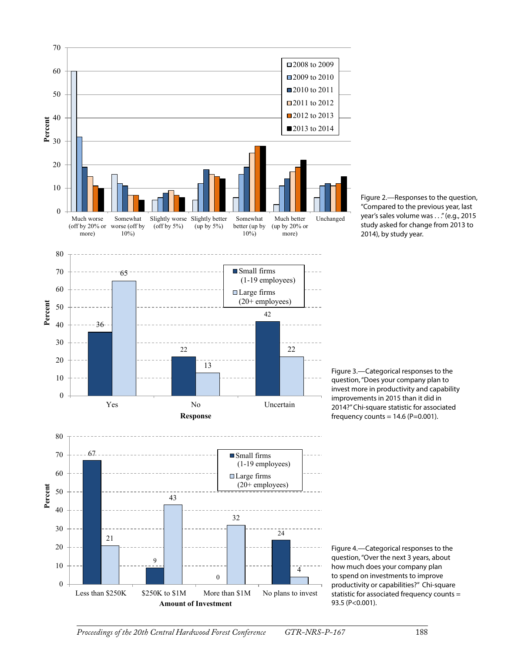



Figure 3.—Categorical responses to the question, "Does your company plan to invest more in productivity and capability improvements in 2015 than it did in 2014?" Chi-square statistic for associated frequency counts =  $14.6$  (P=0.001).

Figure 4.—Categorical responses to the question, "Over the next 3 years, about how much does your company plan to spend on investments to improve productivity or capabilities?" Chi-square statistic for associated frequency counts = 93.5 (P<0.001).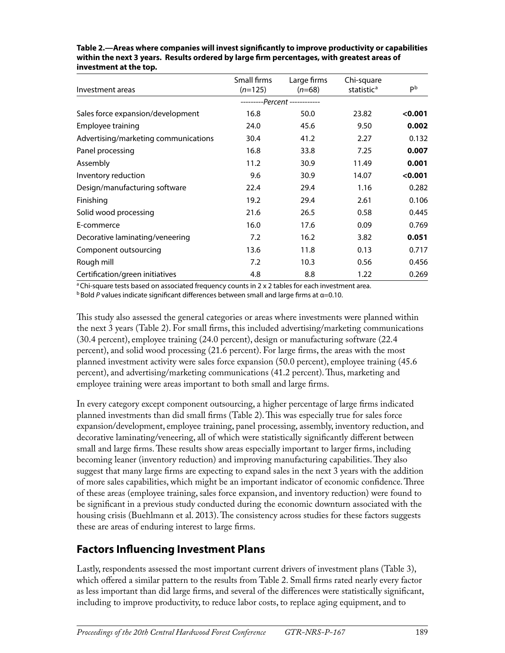| Investment areas                     | Small firms<br>$(n=125)$ | Large firms<br>$(n=68)$       | Chi-square<br>statistic <sup>a</sup> | pb      |
|--------------------------------------|--------------------------|-------------------------------|--------------------------------------|---------|
|                                      |                          | ---------Percent ------------ |                                      |         |
| Sales force expansion/development    | 16.8                     | 50.0                          | 23.82                                | < 0.001 |
| Employee training                    | 24.0                     | 45.6                          | 9.50                                 | 0.002   |
| Advertising/marketing communications | 30.4                     | 41.2                          | 2.27                                 | 0.132   |
| Panel processing                     | 16.8                     | 33.8                          | 7.25                                 | 0.007   |
| Assembly                             | 11.2                     | 30.9                          | 11.49                                | 0.001   |
| Inventory reduction                  | 9.6                      | 30.9                          | 14.07                                | < 0.001 |
| Design/manufacturing software        | 22.4                     | 29.4                          | 1.16                                 | 0.282   |
| Finishing                            | 19.2                     | 29.4                          | 2.61                                 | 0.106   |
| Solid wood processing                | 21.6                     | 26.5                          | 0.58                                 | 0.445   |
| E-commerce                           | 16.0                     | 17.6                          | 0.09                                 | 0.769   |
| Decorative laminating/veneering      | 7.2                      | 16.2                          | 3.82                                 | 0.051   |
| Component outsourcing                | 13.6                     | 11.8                          | 0.13                                 | 0.717   |
| Rough mill                           | 7.2                      | 10.3                          | 0.56                                 | 0.456   |
| Certification/green initiatives      | 4.8                      | 8.8                           | 1.22                                 | 0.269   |

**Table 2.—Areas where companies will invest significantly to improve productivity or capabilities within the next 3 years. Results ordered by large firm percentages, with greatest areas of investment at the top.**

<sup>a</sup> Chi-square tests based on associated frequency counts in 2 x 2 tables for each investment area. b Bold *P* values indicate significant differences between small and large firms at α=0.10.

This study also assessed the general categories or areas where investments were planned within the next 3 years (Table 2). For small firms, this included advertising/marketing communications (30.4 percent), employee training (24.0 percent), design or manufacturing software (22.4 percent), and solid wood processing (21.6 percent). For large firms, the areas with the most planned investment activity were sales force expansion (50.0 percent), employee training (45.6 percent), and advertising/marketing communications (41.2 percent). Thus, marketing and employee training were areas important to both small and large firms.

In every category except component outsourcing, a higher percentage of large firms indicated planned investments than did small firms (Table 2). This was especially true for sales force expansion/development, employee training, panel processing, assembly, inventory reduction, and decorative laminating/veneering, all of which were statistically significantly different between small and large firms. These results show areas especially important to larger firms, including becoming leaner (inventory reduction) and improving manufacturing capabilities. They also suggest that many large firms are expecting to expand sales in the next 3 years with the addition of more sales capabilities, which might be an important indicator of economic confidence. Three of these areas (employee training, sales force expansion, and inventory reduction) were found to be significant in a previous study conducted during the economic downturn associated with the housing crisis (Buehlmann et al. 2013). The consistency across studies for these factors suggests these are areas of enduring interest to large firms.

#### **Factors Influencing Investment Plans**

Lastly, respondents assessed the most important current drivers of investment plans (Table 3), which offered a similar pattern to the results from Table 2. Small firms rated nearly every factor as less important than did large firms, and several of the differences were statistically significant, including to improve productivity, to reduce labor costs, to replace aging equipment, and to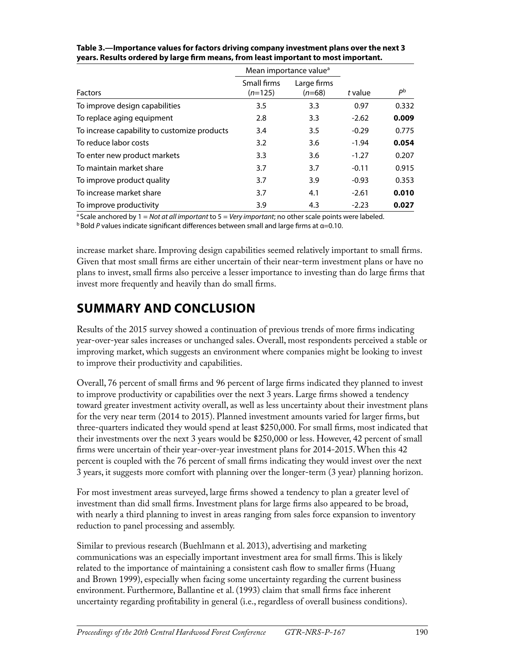|                                              |                          | Mean importance value <sup>a</sup> |         | P <sup>b</sup> |
|----------------------------------------------|--------------------------|------------------------------------|---------|----------------|
| <b>Factors</b>                               | Small firms<br>$(n=125)$ | Large firms<br>$(n=68)$            | t value |                |
| To improve design capabilities               | 3.5                      | 3.3                                | 0.97    | 0.332          |
| To replace aging equipment                   | 2.8                      | 3.3                                | $-2.62$ | 0.009          |
| To increase capability to customize products | 3.4                      | 3.5                                | $-0.29$ | 0.775          |
| To reduce labor costs                        | 3.2                      | 3.6                                | $-1.94$ | 0.054          |
| To enter new product markets                 | 3.3                      | 3.6                                | $-1.27$ | 0.207          |
| To maintain market share                     | 3.7                      | 3.7                                | $-0.11$ | 0.915          |
| To improve product quality                   | 3.7                      | 3.9                                | $-0.93$ | 0.353          |
| To increase market share                     | 3.7                      | 4.1                                | $-2.61$ | 0.010          |
| To improve productivity                      | 3.9                      | 4.3                                | $-2.23$ | 0.027          |

| Table 3.—Importance values for factors driving company investment plans over the next 3 |
|-----------------------------------------------------------------------------------------|
| years. Results ordered by large firm means, from least important to most important.     |

a Scale anchored by 1 = *Not at all important* to 5 = *Very important*; no other scale points were labeled. b Bold *P* values indicate significant differences between small and large firms at α=0.10.

increase market share. Improving design capabilities seemed relatively important to small firms. Given that most small firms are either uncertain of their near-term investment plans or have no plans to invest, small firms also perceive a lesser importance to investing than do large firms that invest more frequently and heavily than do small firms.

## **SUMMARY AND CONCLUSION**

Results of the 2015 survey showed a continuation of previous trends of more firms indicating year-over-year sales increases or unchanged sales. Overall, most respondents perceived a stable or improving market, which suggests an environment where companies might be looking to invest to improve their productivity and capabilities.

Overall, 76 percent of small firms and 96 percent of large firms indicated they planned to invest to improve productivity or capabilities over the next 3 years. Large firms showed a tendency toward greater investment activity overall, as well as less uncertainty about their investment plans for the very near term (2014 to 2015). Planned investment amounts varied for larger firms, but three-quarters indicated they would spend at least \$250,000. For small firms, most indicated that their investments over the next 3 years would be \$250,000 or less. However, 42 percent of small firms were uncertain of their year-over-year investment plans for 2014-2015. When this 42 percent is coupled with the 76 percent of small firms indicating they would invest over the next 3 years, it suggests more comfort with planning over the longer-term (3 year) planning horizon.

For most investment areas surveyed, large firms showed a tendency to plan a greater level of investment than did small firms. Investment plans for large firms also appeared to be broad, with nearly a third planning to invest in areas ranging from sales force expansion to inventory reduction to panel processing and assembly.

Similar to previous research (Buehlmann et al. 2013), advertising and marketing communications was an especially important investment area for small firms. This is likely related to the importance of maintaining a consistent cash flow to smaller firms (Huang and Brown 1999), especially when facing some uncertainty regarding the current business environment. Furthermore, Ballantine et al. (1993) claim that small firms face inherent uncertainty regarding profitability in general (i.e., regardless of overall business conditions).